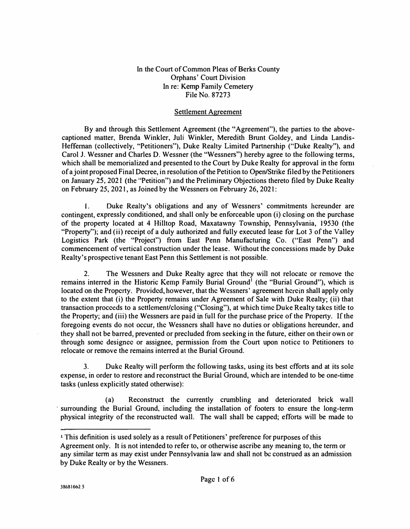## In the Court of Common Pleas of Berks County Orphans' Court Division In re: **Kemp** Family Cemetery File No. 87273

## Settlement Agreement

By and through this Settlement Agreement (the "Agreement"), the parties to the abovecaptioned matter, Brenda Winkler, Juli Winkler, Meredith Brunt Goldey, and Linda Landis-Heffernan (collectively, "Petitioners"), Duke Realty Limited Partnership ("Duke Realty"), and Carol J. Wessner and Charles D. Wessner (the "Wessners"} hereby agree to the following terms, which shall be memorialized and presented to the Court by Duke Realty for approval in the form of a joint proposed Final Decree, in resolution of the Petition to Open/Strike filed by the Petitioners on January 25, 2021 (the "Petition") and the Preliminary Objections thereto filed by Duke Realty on February 25, 2021, as Joined by the Wessners on February 26, 2021:

I. Duke Realty's obligations and any of Wessners' commitments hereunder are contingent, expressly conditioned, and shall only be enforceable upon (i) closing on the purchase of the property located at **4** Hilltop Road, Maxatawny Township, Pennsylvania, **I 9530** (the "Property"); and (ii} receipt of a duly authorized and fully executed lease for Lot 3 of the Valley Logistics Park (the "Project") from East Penn Manufacturing Co. ("East Penn") and commencement of vertical construction under the lease. Without the concessions made by Duke Realty's prospective tenant East Penn this Settlement is not possible.

2. The Wcssners and Duke Realty agree that they will not relocate or remove the remains interred in the Historic Kemp Family Burial Ground' (the "Burial Ground''), which is located on the Property. Provided, however, that the Wcssners' agreement herein shall apply only to the extent that (i) the Property remains under Agreement of Sale with Duke Realty; (ii) that transaction proceeds to a settlement/closing ("Closing"), at which time Duke Realty takes title to the Property; and (iii) the Wessners are paid **in** full for the purchase price of the Property. If the foregoing events do not occur, the Wessncrs shall have no duties or obligations hereunder, and they shall not be barred, prevented or precluded from seeking in the future, either on their own or through some designcc or assignee, permission from the Court upon notice to Petitioners to relocate or remove the remains interred at the Burial Ground.

3. Duke Realty will perform the following tasks, using its best efforts and at its sole expense, in order to restore and reconstruct the Burial Ground, which are intended to be one-time tasks (unless explicitly stated otherwise):

(a) Reconstruct the currently crumbling and deteriorated brick wall surrounding the Burial Ground, including the installation of footers to ensure the long-term physical integrity of the reconstructed wall. The wall shall be capped; efforts will be made to

**<sup>1</sup>**This definition is used solely as a result of Petitioners' preference for purposes of this Agreement only. **It** is not intended to refer to, or otherwise ascribe any meaning to, the term or any similar term as may exist under Pennsylvania law and shall not be construed as an admission by Duke Realty or by the Wessners.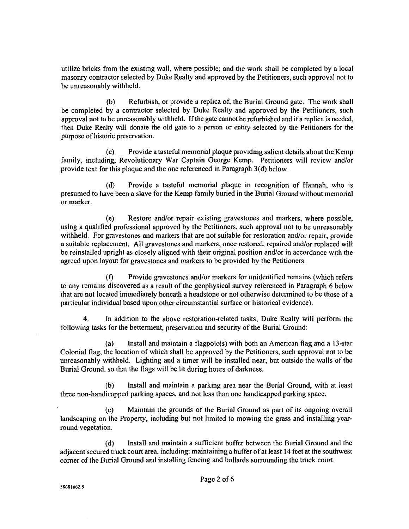utilize bricks from the existing wall, where possible; and the work shall be completed by a local masonry contractor selected by Duke Realty and approved by the Petitioners, such approval not to be unreasonably withheld.

 $(b)$ Refurbish, or provide a replica of, the Burial Ground gate. The work shall be completed by a contractor selected by Duke Realty and approved by the Petitioners, such approval not to be unreasonably withheld. If the gate cannot be refurbished and if a replica is needed, then Duke Realty will donate the old gate to a person or entity selected by the Petitioners for the purpose of historic preservation.

Provide a tasteful memorial plaque providing salient details about the Kemp  $(c)$ family, including, Revolutionary War Captain George Kemp. Petitioners will review and/or provide text for this plaque and the one referenced in Paragraph 3(d) below.

Provide a tasteful memorial plaque in recognition of Hannah, who is  $(d)$ presumed to have been a slave for the Kemp family buried in the Burial Ground without memorial or marker.

 $(e)$ Restore and/or repair existing gravestones and markers, where possible, using a qualified professional approved by the Petitioners, such approval not to be unreasonably withheld. For gravestones and markers that are not suitable for restoration and/or repair, provide a suitable replacement. All gravestones and markers, once restored, repaired and/or replaced will be reinstalled upright as closely aligned with their original position and/or in accordance with the agreed upon layout for gravestones and markers to be provided by the Petitioners.

 $(f)$ Provide gravestones and/or markers for unidentified remains (which refers to any remains discovered as a result of the geophysical survey referenced in Paragraph 6 below that are not located immediately beneath a headstone or not otherwise determined to be those of a particular individual based upon other circumstantial surface or historical evidence).

In addition to the above restoration-related tasks, Duke Realty will perform the 4. following tasks for the betterment, preservation and security of the Burial Ground:

 $(a)$ Install and maintain a flagpole(s) with both an American flag and a 13-star Colonial flag, the location of which shall be approved by the Petitioners, such approval not to be unreasonably withheld. Lighting and a timer will be installed near, but outside the walls of the Burial Ground, so that the flags will be lit during hours of darkness.

 $(b)$ Install and maintain a parking area near the Burial Ground, with at least three non-handicapped parking spaces, and not less than one handicapped parking space.

Maintain the grounds of the Burial Ground as part of its ongoing overall  $(c)$ landscaping on the Property, including but not limited to mowing the grass and installing yearround vegetation.

Install and maintain a sufficient buffer between the Burial Ground and the  $(d)$ adjacent secured truck court area, including: maintaining a buffer of at least 14 feet at the southwest corner of the Burial Ground and installing feneing and bollards surrounding the truck court.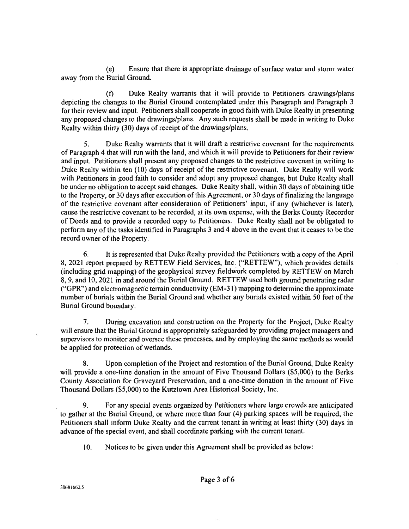Ensure that there is appropriate drainage of surface water and storm water  $(e)$ away from the Burial Ground.

Duke Realty warrants that it will provide to Petitioners drawings/plans  $(f)$ depicting the changes to the Burial Ground contemplated under this Paragraph and Paragraph 3 for their review and input. Petitioners shall cooperate in good faith with Duke Realty in presenting any proposed changes to the drawings/plans. Any such requests shall be made in writing to Duke Realty within thirty (30) days of receipt of the drawings/plans.

5. Duke Realty warrants that it will draft a restrictive covenant for the requirements of Paragraph 4 that will run with the land, and which it will provide to Petitioners for their review and input. Petitioners shall present any proposed changes to the restrictive covenant in writing to Duke Realty within ten (10) days of receipt of the restrictive covenant. Duke Realty will work with Petitioners in good faith to consider and adopt any proposed changes, but Duke Realty shall be under no obligation to accept said changes. Duke Realty shall, within 30 days of obtaining title to the Property, or 30 days after execution of this Agreement, or 30 days of finalizing the language of the restrictive covenant after consideration of Petitioners' input, if any (whichever is later), cause the restrictive covenant to be recorded, at its own expense, with the Berks County Recorder of Deeds and to provide a recorded copy to Petitioners. Duke Realty shall not be obligated to perform any of the tasks identified in Paragraphs 3 and 4 above in the event that it ceases to be the record owner of the Property.

6. It is represented that Duke Realty provided the Petitioners with a copy of the April 8, 2021 report prepared by RETTEW Field Services, Inc. ("RETTEW"), which provides details (including grid mapping) of the geophysical survey fieldwork completed by RETTEW on March 8, 9, and 10, 2021 in and around the Burial Ground. RETTEW used both ground penetrating radar ("GPR") and electromagnetic terrain conductivity  $(EM-31)$  mapping to determine the approximate number of burials within the Burial Ground and whether any burials existed within 50 feet of the Burial Ground boundary.

7. During excavation and construction on the Property for the Project, Duke Realty will ensure that the Burial Ground is appropriately safeguarded by providing project managers and supervisors to monitor and oversee these processes, and by employing the same methods as would be applied for protection of wetlands.

Upon completion of the Project and restoration of the Burial Ground, Duke Realty 8. will provide a one-time donation in the amount of Five Thousand Dollars (\$5,000) to the Berks County Association for Graveyard Preservation, and a one-time donation in the amount of Five Thousand Dollars (\$5,000) to the Kutztown Area Historical Society, Inc.

For any special events organized by Petitioners where large crowds are anticipated 9. to gather at the Burial Ground, or where more than four (4) parking spaces will be required, the Petitioners shall inform Duke Realty and the current tenant in writing at least thirty (30) days in advance of the special event, and shall coordinate parking with the current tenant.

10. Notices to be given under this Agreement shall be provided as below: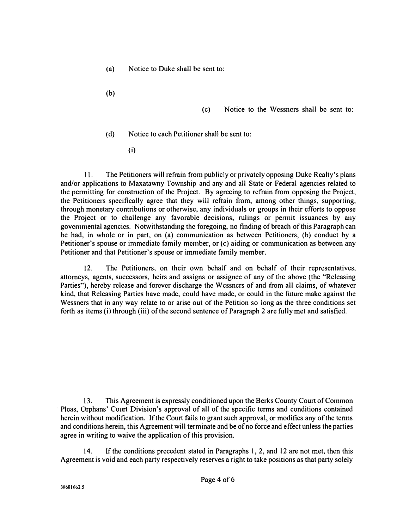- (a) Notice to Duke shall be sent to:
- (b)

- (c) Notice to the Wessncrs shall be sent to:
- (d) Notice to each Petitioner sha11 be sent to:
	- (i)

11. The Petitioners will refrain from publicly or privately opposing Duke Realty's plans and/or applications to Maxatawny Township and any and all State or Federal agencies related to the permitting for construction of the Project. By agreeing to refrain from opposing the Project. the Petitioners specifically agree that they will refrain from, among other things, supporting. through monetary contributions or otherwise, any individuals or groups in their efforts to oppose the Project or to challenge any favorable decisions, rulings or pennit issuances by any governmental agencies. Notwithstanding the foregoing, no finding of breach of this Paragraph can be had, in whole or in part, on (a) communication as between Petitioners, (b) conduct by a Petitioner's spouse or immediate family member, or (c) aiding or communication as between any Petitioner and that Petitioner's spouse or immediate family member.

12. The Petitioners. on their own behalf and on behalf of their representatives, attorneys, agents, successors, heirs and assigns or assignee of any of the above (the "Releasing Parties"), hereby release and forever discharge the W cssncrs of and from all claims, of whatever kind, that Releasing Parties have made, could have made, or could in the future make against the Wessners that in any way relate to or arise out of the Petition so long as the three conditions set forth as items (i) through (iii) of the second sentence of Paragraph 2 are fully met and satisfied.

13. This Agreement is expressly conditioned upon the Berks County Court of Common Pleas, Orphans' Court Division's approval of all of the specific terms and conditions contained herein without modification. If the Court fails to grant such approval, or modifies any of the terms and conditions herein, this Agreement will terminate and be of no force and effect unless the parties agree in writing to waive the application of this provision.

14. If the conditions precedent stated in Paragraphs 1, 2, and 12 are not met, then this Agreement is void and each party respectively reserves a right to take positions as that party solely